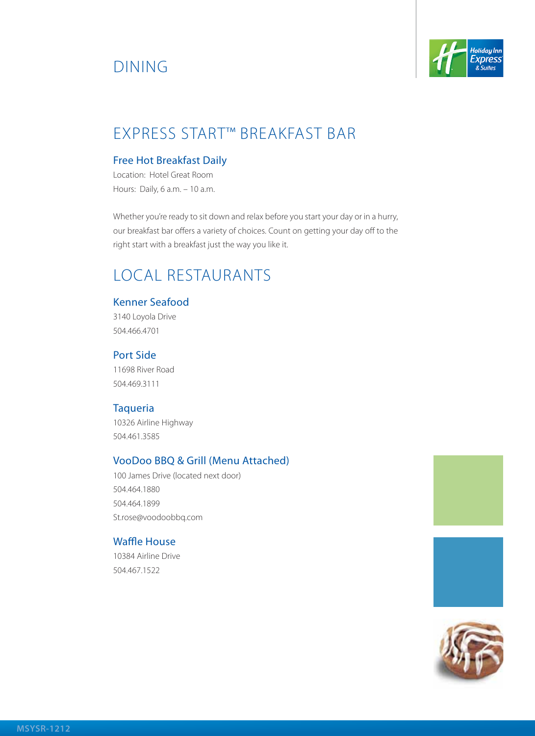# Dining



## EXPRESS START™ BREAKFAST BAR

#### Free Hot Breakfast Daily

Location: Hotel Great Room Hours: Daily, 6 a.m. – 10 a.m.

Whether you're ready to sit down and relax before you start your day or in a hurry, our breakfast bar offers a variety of choices. Count on getting your day off to the right start with a breakfast just the way you like it.

## Local Restaurants

#### Kenner Seafood

3140 Loyola Drive 504.466.4701

#### Port Side

11698 River Road 504.469.3111

#### **Taqueria**

10326 Airline Highway 504.461.3585

#### VooDoo BBQ & Grill (Menu Attached)

100 James Drive (located next door) 504.464.1880 504.464.1899 St.rose@voodoobbq.com

#### Waffle House

10384 Airline Drive 504.467.1522



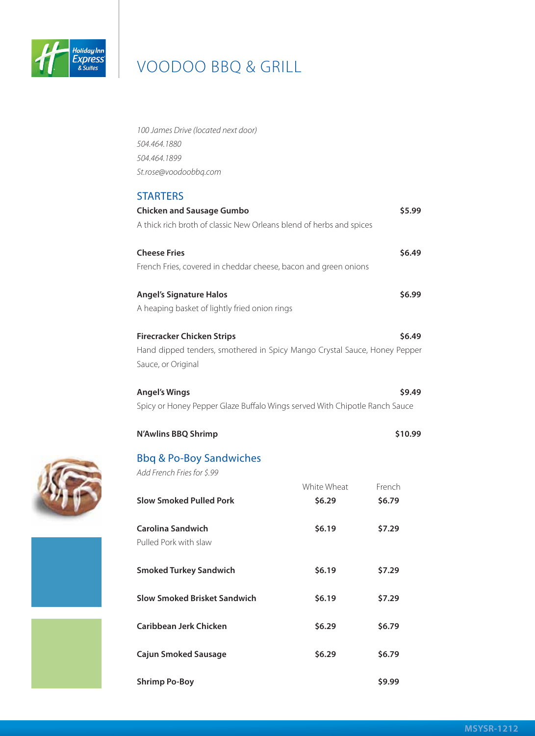

| 100 James Drive (located next door)                                                             |             |         |
|-------------------------------------------------------------------------------------------------|-------------|---------|
| 504.464.1880                                                                                    |             |         |
| 504.464.1899                                                                                    |             |         |
| St.rose@voodoobbq.com                                                                           |             |         |
| <b>STARTERS</b>                                                                                 |             |         |
| <b>Chicken and Sausage Gumbo</b>                                                                |             | \$5.99  |
| A thick rich broth of classic New Orleans blend of herbs and spices                             |             |         |
| <b>Cheese Fries</b>                                                                             |             | \$6.49  |
| French Fries, covered in cheddar cheese, bacon and green onions                                 |             |         |
| <b>Angel's Signature Halos</b>                                                                  |             | \$6.99  |
| A heaping basket of lightly fried onion rings                                                   |             |         |
| <b>Firecracker Chicken Strips</b>                                                               |             | \$6.49  |
|                                                                                                 |             |         |
| Hand dipped tenders, smothered in Spicy Mango Crystal Sauce, Honey Pepper<br>Sauce, or Original |             |         |
|                                                                                                 |             |         |
| <b>Angel's Wings</b>                                                                            |             | \$9.49  |
| Spicy or Honey Pepper Glaze Buffalo Wings served With Chipotle Ranch Sauce                      |             |         |
| <b>N'Awlins BBQ Shrimp</b>                                                                      |             | \$10.99 |
| <b>Bbq &amp; Po-Boy Sandwiches</b>                                                              |             |         |
| Add French Fries for \$.99                                                                      |             |         |
|                                                                                                 | White Wheat | French  |
| <b>Slow Smoked Pulled Pork</b>                                                                  | \$6.29      | \$6.79  |
| <b>Carolina Sandwich</b>                                                                        | \$6.19      | \$7.29  |
| Pulled Pork with slaw                                                                           |             |         |
| <b>Smoked Turkey Sandwich</b>                                                                   | \$6.19      | \$7.29  |
|                                                                                                 |             |         |
| Slow Smoked Brisket Sandwich                                                                    | \$6.19      | \$7.29  |
| Caribbean Jerk Chicken                                                                          | \$6.29      | \$6.79  |
|                                                                                                 |             |         |
| <b>Cajun Smoked Sausage</b>                                                                     | \$6.29      | \$6.79  |

**Shrimp Po-Boy \$9.99**



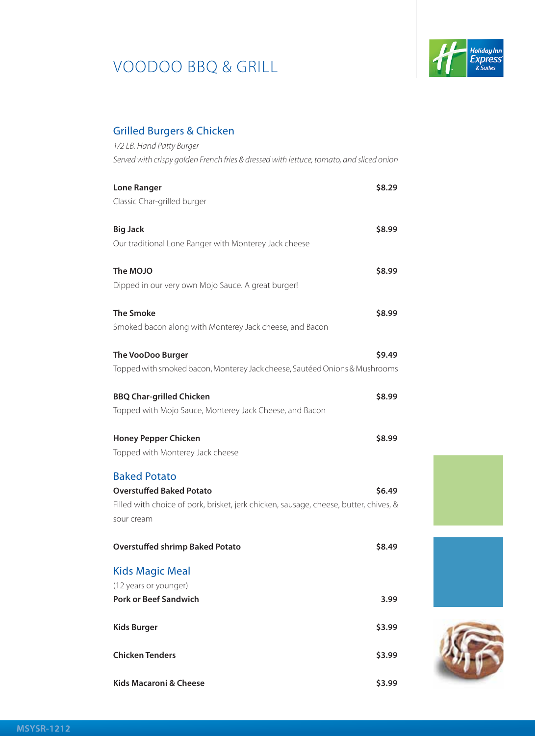

### Grilled Burgers & Chicken

| 1/2 LB. Hand Patty Burger                                                               |        |
|-----------------------------------------------------------------------------------------|--------|
| Served with crispy golden French fries & dressed with lettuce, tomato, and sliced onion |        |
|                                                                                         |        |
| <b>Lone Ranger</b>                                                                      | \$8.29 |
| Classic Char-grilled burger                                                             |        |
| <b>Big Jack</b>                                                                         | \$8.99 |
| Our traditional Lone Ranger with Monterey Jack cheese                                   |        |
|                                                                                         |        |
| The MOJO                                                                                | \$8.99 |
| Dipped in our very own Mojo Sauce. A great burger!                                      |        |
|                                                                                         |        |
| <b>The Smoke</b><br>Smoked bacon along with Monterey Jack cheese, and Bacon             | \$8.99 |
|                                                                                         |        |
| <b>The VooDoo Burger</b>                                                                | \$9.49 |
| Topped with smoked bacon, Monterey Jack cheese, Sautéed Onions & Mushrooms              |        |
|                                                                                         |        |
| <b>BBQ Char-grilled Chicken</b>                                                         | \$8.99 |
| Topped with Mojo Sauce, Monterey Jack Cheese, and Bacon                                 |        |
| <b>Honey Pepper Chicken</b>                                                             | \$8.99 |
| Topped with Monterey Jack cheese                                                        |        |
|                                                                                         |        |
| <b>Baked Potato</b>                                                                     |        |
| <b>Overstuffed Baked Potato</b>                                                         | \$6.49 |
| Filled with choice of pork, brisket, jerk chicken, sausage, cheese, butter, chives, &   |        |
| sour cream                                                                              |        |
| <b>Overstuffed shrimp Baked Potato</b>                                                  | \$8.49 |
|                                                                                         |        |
| <b>Kids Magic Meal</b>                                                                  |        |
| (12 years or younger)                                                                   |        |
| <b>Pork or Beef Sandwich</b>                                                            | 3.99   |
| Kids Burger                                                                             | \$3.99 |
|                                                                                         |        |
| <b>Chicken Tenders</b>                                                                  | \$3.99 |
|                                                                                         |        |
| Kids Macaroni & Cheese                                                                  | \$3.99 |





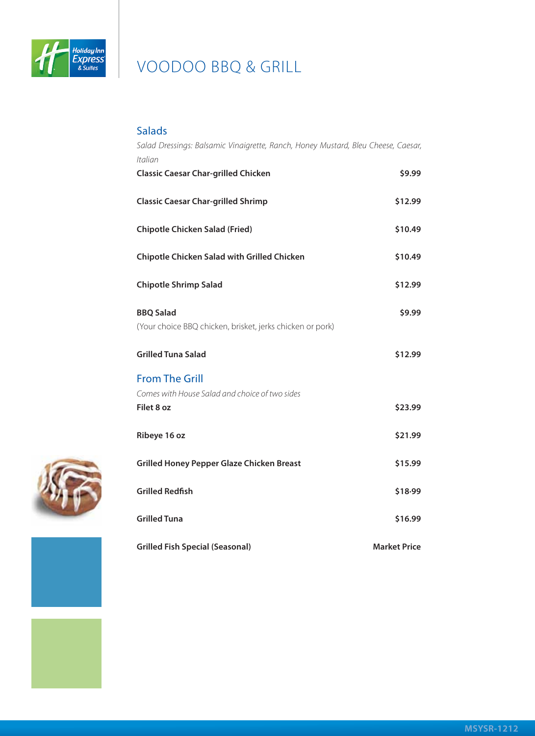

### Salads

| Salad Dressings: Balsamic Vinaigrette, Ranch, Honey Mustard, Bleu Cheese, Caesar,<br>Italian |                     |
|----------------------------------------------------------------------------------------------|---------------------|
| <b>Classic Caesar Char-grilled Chicken</b>                                                   | \$9.99              |
| <b>Classic Caesar Char-grilled Shrimp</b>                                                    | \$12.99             |
| <b>Chipotle Chicken Salad (Fried)</b>                                                        | \$10.49             |
| Chipotle Chicken Salad with Grilled Chicken                                                  | \$10.49             |
| <b>Chipotle Shrimp Salad</b>                                                                 | \$12.99             |
| <b>BBQ Salad</b><br>(Your choice BBQ chicken, brisket, jerks chicken or pork)                | \$9.99              |
| <b>Grilled Tuna Salad</b>                                                                    | \$12.99             |
| <b>From The Grill</b><br>Comes with House Salad and choice of two sides<br>Filet 8 oz        | \$23.99             |
| Ribeye 16 oz                                                                                 | \$21.99             |
| <b>Grilled Honey Pepper Glaze Chicken Breast</b>                                             | \$15.99             |
| <b>Grilled Redfish</b>                                                                       | \$18.99             |
| <b>Grilled Tuna</b>                                                                          | \$16.99             |
| <b>Grilled Fish Special (Seasonal)</b>                                                       | <b>Market Price</b> |



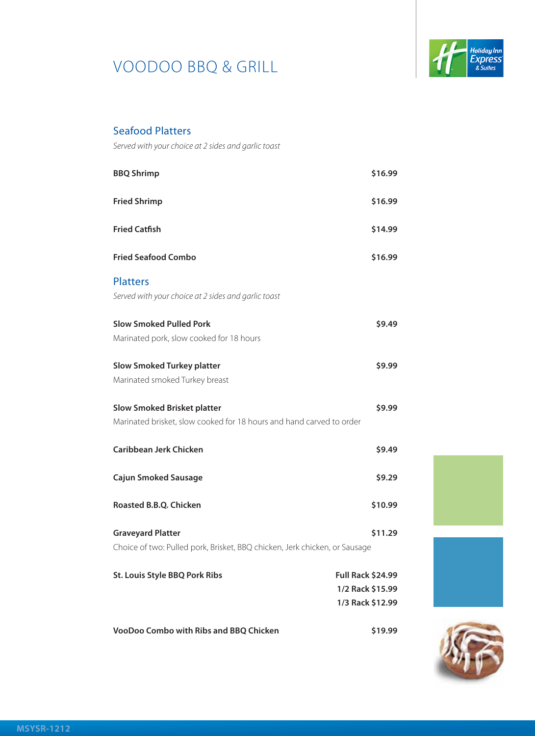

### Seafood Platters

*Served with your choice at 2 sides and garlic toast*

| <b>BBQ Shrimp</b>                                                          | \$16.99                  |
|----------------------------------------------------------------------------|--------------------------|
| <b>Fried Shrimp</b>                                                        | \$16.99                  |
| <b>Fried Catfish</b>                                                       | \$14.99                  |
| <b>Fried Seafood Combo</b>                                                 | \$16.99                  |
| <b>Platters</b>                                                            |                          |
| Served with your choice at 2 sides and garlic toast                        |                          |
| <b>Slow Smoked Pulled Pork</b>                                             | \$9.49                   |
| Marinated pork, slow cooked for 18 hours                                   |                          |
| <b>Slow Smoked Turkey platter</b>                                          | \$9.99                   |
| Marinated smoked Turkey breast                                             |                          |
| <b>Slow Smoked Brisket platter</b>                                         | \$9.99                   |
| Marinated brisket, slow cooked for 18 hours and hand carved to order       |                          |
| Caribbean Jerk Chicken                                                     | \$9.49                   |
| Cajun Smoked Sausage                                                       | \$9.29                   |
| Roasted B.B.Q. Chicken                                                     | \$10.99                  |
| <b>Graveyard Platter</b>                                                   | \$11.29                  |
| Choice of two: Pulled pork, Brisket, BBQ chicken, Jerk chicken, or Sausage |                          |
| <b>St. Louis Style BBQ Pork Ribs</b>                                       | <b>Full Rack \$24.99</b> |
|                                                                            | 1/2 Rack \$15.99         |
|                                                                            | 1/3 Rack \$12.99         |
| VooDoo Combo with Ribs and BBQ Chicken                                     | \$19.99                  |